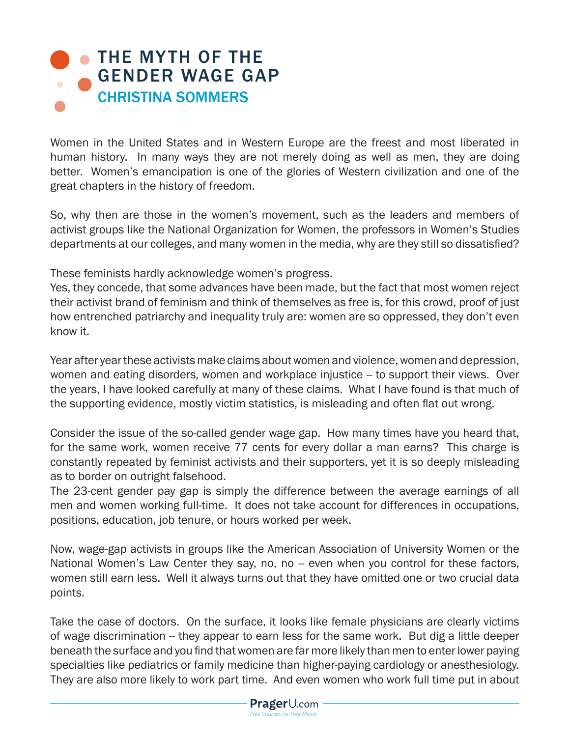## **• THE MYTH OF THE** [GENDER WAGE GAP](https://www.prageru.com/courses/political-science/myth-gender-wage-gap) CHRISTINA SOMMERS

Women in the United States and in Western Europe are the freest and most liberated in human history. In many ways they are not merely doing as well as men, they are doing better. Women's emancipation is one of the glories of Western civilization and one of the great chapters in the history of freedom.

So, why then are those in the women's movement, such as the leaders and members of activist groups like the National Organization for Women, the professors in Women's Studies departments at our colleges, and many women in the media, why are they still so dissatisfied?

These feminists hardly acknowledge women's progress.

Yes, they concede, that some advances have been made, but the fact that most women reject their activist brand of feminism and think of themselves as free is, for this crowd, proof of just how entrenched patriarchy and inequality truly are: women are so oppressed, they don't even know it.

Year after year these activists make claims about women and violence, women and depression, women and eating disorders, women and workplace injustice -- to support their views. Over the years, I have looked carefully at many of these claims. What I have found is that much of the supporting evidence, mostly victim statistics, is misleading and often flat out wrong.

Consider the issue of the so-called gender wage gap. How many times have you heard that, for the same work, women receive 77 cents for every dollar a man earns? This charge is constantly repeated by feminist activists and their supporters, yet it is so deeply misleading as to border on outright falsehood.

The 23-cent gender pay gap is simply the difference between the average earnings of all men and women working full-time. It does not take account for differences in occupations, positions, education, job tenure, or hours worked per week.

Now, wage-gap activists in groups like the American Association of University Women or the National Women's Law Center they say, no, no -- even when you control for these factors, women still earn less. Well it always turns out that they have omitted one or two crucial data points.

Take the case of doctors. On the surface, it looks like female physicians are clearly victims of wage discrimination -- they appear to earn less for the same work. But dig a little deeper beneath the surface and you find that women are far more likely than men to enter lower paying specialties like pediatrics or family medicine than higher-paying cardiology or anesthesiology. They are also more likely to work part time. And even women who work full time put in about